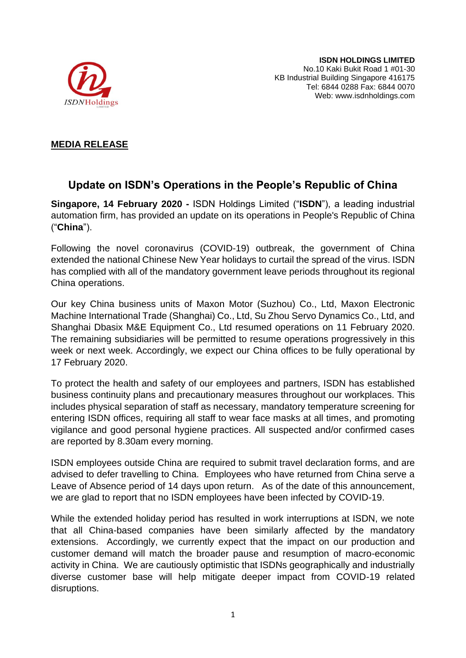

## **MEDIA RELEASE**

## **Update on ISDN's Operations in the People's Republic of China**

**Singapore, 14 February 2020 -** ISDN Holdings Limited ("**ISDN**"), a leading industrial automation firm, has provided an update on its operations in People's Republic of China ("**China**").

Following the novel coronavirus (COVID-19) outbreak, the government of China extended the national Chinese New Year holidays to curtail the spread of the virus. ISDN has complied with all of the mandatory government leave periods throughout its regional China operations.

Our key China business units of Maxon Motor (Suzhou) Co., Ltd, Maxon Electronic Machine International Trade (Shanghai) Co., Ltd, Su Zhou Servo Dynamics Co., Ltd, and Shanghai Dbasix M&E Equipment Co., Ltd resumed operations on 11 February 2020. The remaining subsidiaries will be permitted to resume operations progressively in this week or next week. Accordingly, we expect our China offices to be fully operational by 17 February 2020.

To protect the health and safety of our employees and partners, ISDN has established business continuity plans and precautionary measures throughout our workplaces. This includes physical separation of staff as necessary, mandatory temperature screening for entering ISDN offices, requiring all staff to wear face masks at all times, and promoting vigilance and good personal hygiene practices. All suspected and/or confirmed cases are reported by 8.30am every morning.

ISDN employees outside China are required to submit travel declaration forms, and are advised to defer travelling to China. Employees who have returned from China serve a Leave of Absence period of 14 days upon return. As of the date of this announcement, we are glad to report that no ISDN employees have been infected by COVID-19.

While the extended holiday period has resulted in work interruptions at ISDN, we note that all China-based companies have been similarly affected by the mandatory extensions. Accordingly, we currently expect that the impact on our production and customer demand will match the broader pause and resumption of macro-economic activity in China. We are cautiously optimistic that ISDNs geographically and industrially diverse customer base will help mitigate deeper impact from COVID-19 related disruptions.